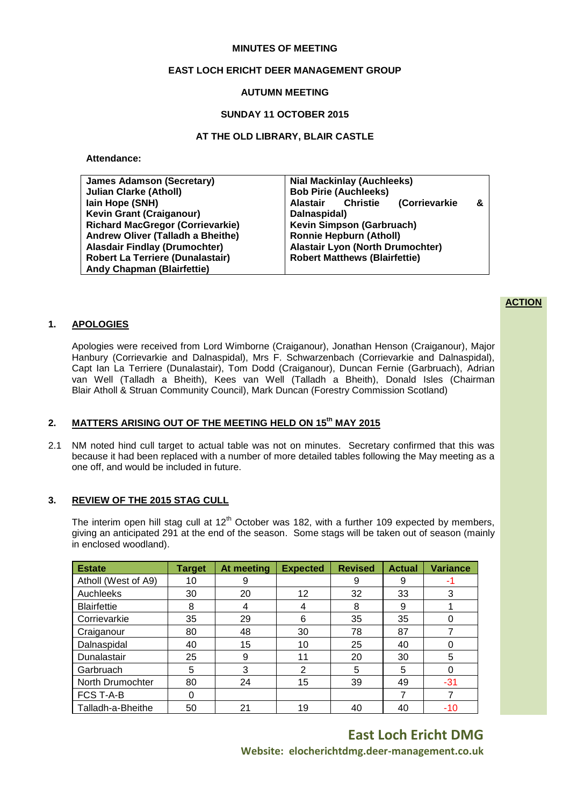### **MINUTES OF MEETING**

## **EAST LOCH ERICHT DEER MANAGEMENT GROUP**

# **AUTUMN MEETING**

## **SUNDAY 11 OCTOBER 2015**

# **AT THE OLD LIBRARY, BLAIR CASTLE**

**Attendance:**

| <b>James Adamson (Secretary)</b>        | <b>Nial Mackinlay (Auchleeks)</b>                                       |  |  |
|-----------------------------------------|-------------------------------------------------------------------------|--|--|
|                                         |                                                                         |  |  |
| <b>Julian Clarke (Atholl)</b>           | <b>Bob Pirie (Auchleeks)</b>                                            |  |  |
| lain Hope (SNH)                         | <b>Christie</b><br><i><b>(Corrievarkie)</b></i><br><b>Alastair</b><br>& |  |  |
| <b>Kevin Grant (Craiganour)</b>         | Dalnaspidal)                                                            |  |  |
| <b>Richard MacGregor (Corrievarkie)</b> | Kevin Simpson (Garbruach)                                               |  |  |
| Andrew Oliver (Talladh a Bheithe)       | <b>Ronnie Hepburn (Atholl)</b>                                          |  |  |
| <b>Alasdair Findlay (Drumochter)</b>    | <b>Alastair Lyon (North Drumochter)</b>                                 |  |  |
| <b>Robert La Terriere (Dunalastair)</b> | <b>Robert Matthews (Blairfettie)</b>                                    |  |  |
| <b>Andy Chapman (Blairfettie)</b>       |                                                                         |  |  |

### **1. APOLOGIES**

Apologies were received from Lord Wimborne (Craiganour), Jonathan Henson (Craiganour), Major Hanbury (Corrievarkie and Dalnaspidal), Mrs F. Schwarzenbach (Corrievarkie and Dalnaspidal), Capt Ian La Terriere (Dunalastair), Tom Dodd (Craiganour), Duncan Fernie (Garbruach), Adrian van Well (Talladh a Bheith), Kees van Well (Talladh a Bheith), Donald Isles (Chairman Blair Atholl & Struan Community Council), Mark Duncan (Forestry Commission Scotland)

# **2. MATTERS ARISING OUT OF THE MEETING HELD ON 15 th MAY 2015**

2.1 NM noted hind cull target to actual table was not on minutes. Secretary confirmed that this was because it had been replaced with a number of more detailed tables following the May meeting as a one off, and would be included in future.

## **3. REVIEW OF THE 2015 STAG CULL**

The interim open hill stag cull at  $12<sup>th</sup>$  October was 182, with a further 109 expected by members, giving an anticipated 291 at the end of the season. Some stags will be taken out of season (mainly in enclosed woodland).

| <b>Estate</b>       | <b>Target</b> | At meeting | <b>Expected</b> | <b>Revised</b> | <b>Actual</b> | <b>Variance</b> |
|---------------------|---------------|------------|-----------------|----------------|---------------|-----------------|
| Atholl (West of A9) | 10            | 9          |                 | 9              | 9             | -1              |
| Auchleeks           | 30            | 20         | 12              | 32             | 33            | 3               |
| <b>Blairfettie</b>  | 8             | 4          | 4               | 8              | 9             |                 |
| Corrievarkie        | 35            | 29         | 6               | 35             | 35            | 0               |
| Craiganour          | 80            | 48         | 30              | 78             | 87            |                 |
| Dalnaspidal         | 40            | 15         | 10              | 25             | 40            |                 |
| Dunalastair         | 25            | 9          | 11              | 20             | 30            | 5               |
| Garbruach           | 5             | 3          | $\overline{2}$  | 5              | 5             | 0               |
| North Drumochter    | 80            | 24         | 15              | 39             | 49            | $-31$           |
| FCS T-A-B           |               |            |                 |                |               |                 |
| Talladh-a-Bheithe   | 50            | 21         | 19              | 40             | 40            | $-10$           |

**East Loch Ericht DMG Website: elocherichtdmg.deer-management.co.uk**

#### **ACTION**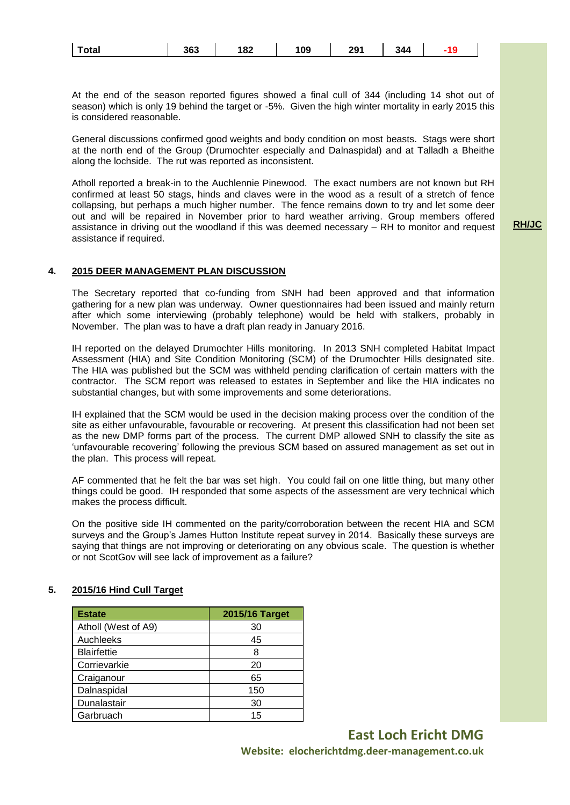| Total | 363 | 182 | 109 | 291 | -340 |  |
|-------|-----|-----|-----|-----|------|--|
|-------|-----|-----|-----|-----|------|--|

At the end of the season reported figures showed a final cull of 344 (including 14 shot out of season) which is only 19 behind the target or -5%. Given the high winter mortality in early 2015 this is considered reasonable.

General discussions confirmed good weights and body condition on most beasts. Stags were short at the north end of the Group (Drumochter especially and Dalnaspidal) and at Talladh a Bheithe along the lochside. The rut was reported as inconsistent.

Atholl reported a break-in to the Auchlennie Pinewood. The exact numbers are not known but RH confirmed at least 50 stags, hinds and claves were in the wood as a result of a stretch of fence collapsing, but perhaps a much higher number. The fence remains down to try and let some deer out and will be repaired in November prior to hard weather arriving. Group members offered assistance in driving out the woodland if this was deemed necessary – RH to monitor and request assistance if required.

**RH/JC**

# **4. 2015 DEER MANAGEMENT PLAN DISCUSSION**

The Secretary reported that co-funding from SNH had been approved and that information gathering for a new plan was underway. Owner questionnaires had been issued and mainly return after which some interviewing (probably telephone) would be held with stalkers, probably in November. The plan was to have a draft plan ready in January 2016.

IH reported on the delayed Drumochter Hills monitoring. In 2013 SNH completed Habitat Impact Assessment (HIA) and Site Condition Monitoring (SCM) of the Drumochter Hills designated site. The HIA was published but the SCM was withheld pending clarification of certain matters with the contractor. The SCM report was released to estates in September and like the HIA indicates no substantial changes, but with some improvements and some deteriorations.

IH explained that the SCM would be used in the decision making process over the condition of the site as either unfavourable, favourable or recovering. At present this classification had not been set as the new DMP forms part of the process. The current DMP allowed SNH to classify the site as 'unfavourable recovering' following the previous SCM based on assured management as set out in the plan. This process will repeat.

AF commented that he felt the bar was set high. You could fail on one little thing, but many other things could be good. IH responded that some aspects of the assessment are very technical which makes the process difficult.

On the positive side IH commented on the parity/corroboration between the recent HIA and SCM surveys and the Group's James Hutton Institute repeat survey in 2014. Basically these surveys are saying that things are not improving or deteriorating on any obvious scale. The question is whether or not ScotGov will see lack of improvement as a failure?

| <b>Estate</b>       | 2015/16 Target |
|---------------------|----------------|
| Atholl (West of A9) | 30             |
| Auchleeks           | 45             |
| <b>Blairfettie</b>  | 8              |
| Corrievarkie        | 20             |
| Craiganour          | 65             |
| Dalnaspidal         | 150            |
| Dunalastair         | 30             |
| Garbruach           | 15             |

### **5. 2015/16 Hind Cull Target**

**East Loch Ericht DMG Website: elocherichtdmg.deer-management.co.uk**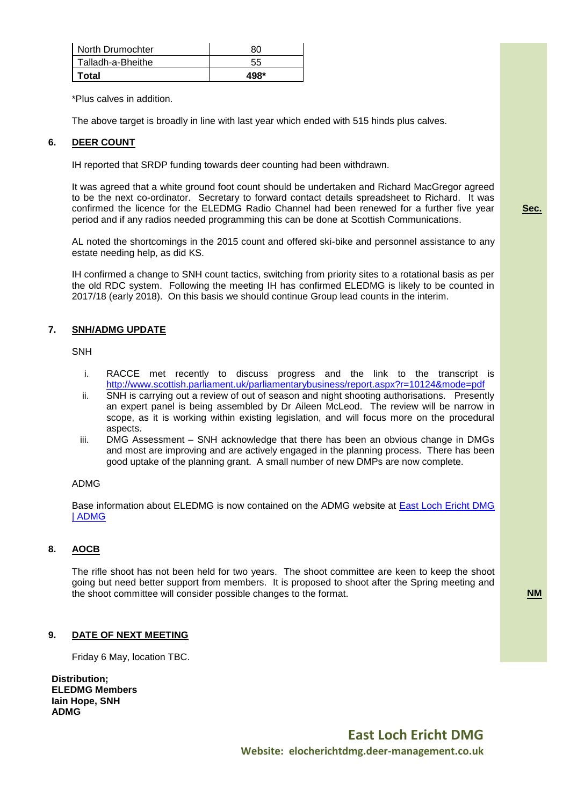| North Drumochter  | 80   |
|-------------------|------|
| Talladh-a-Bheithe | 55   |
| Total             | 498* |

\*Plus calves in addition.

The above target is broadly in line with last year which ended with 515 hinds plus calves.

# **6. DEER COUNT**

IH reported that SRDP funding towards deer counting had been withdrawn.

It was agreed that a white ground foot count should be undertaken and Richard MacGregor agreed to be the next co-ordinator. Secretary to forward contact details spreadsheet to Richard. It was confirmed the licence for the ELEDMG Radio Channel had been renewed for a further five year period and if any radios needed programming this can be done at Scottish Communications.

AL noted the shortcomings in the 2015 count and offered ski-bike and personnel assistance to any estate needing help, as did KS.

IH confirmed a change to SNH count tactics, switching from priority sites to a rotational basis as per the old RDC system. Following the meeting IH has confirmed ELEDMG is likely to be counted in 2017/18 (early 2018). On this basis we should continue Group lead counts in the interim.

### **7. SNH/ADMG UPDATE**

**SNH** 

- i. RACCE met recently to discuss progress and the link to the transcript is <http://www.scottish.parliament.uk/parliamentarybusiness/report.aspx?r=10124&mode=pdf>
- ii. SNH is carrying out a review of out of season and night shooting authorisations. Presently an expert panel is being assembled by Dr Aileen McLeod. The review will be narrow in scope, as it is working within existing legislation, and will focus more on the procedural aspects.
- iii. DMG Assessment SNH acknowledge that there has been an obvious change in DMGs and most are improving and are actively engaged in the planning process. There has been good uptake of the planning grant. A small number of new DMPs are now complete.

### ADMG

Base information about ELEDMG is now contained on the ADMG website at [East Loch Ericht DMG](http://www.deer-management.co.uk/dmgs/deer-management-groups/deer-management-group-map/east-loch-encht-dmg/)  [| ADMG](http://www.deer-management.co.uk/dmgs/deer-management-groups/deer-management-group-map/east-loch-encht-dmg/)

# **8. AOCB**

The rifle shoot has not been held for two years. The shoot committee are keen to keep the shoot going but need better support from members. It is proposed to shoot after the Spring meeting and the shoot committee will consider possible changes to the format. **NM**

### **9. DATE OF NEXT MEETING**

Friday 6 May, location TBC.

**Distribution; ELEDMG Members Iain Hope, SNH ADMG**

**Sec.**